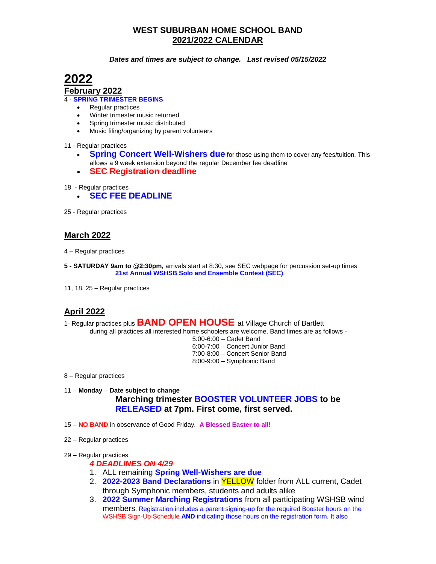# **WEST SUBURBAN HOME SCHOOL BAND 2021/2022 CALENDAR**

#### *Dates and times are subject to change. Last revised 05/15/2022*



#### **February 2022**

4 - **SPRING TRIMESTER BEGINS**

- Regular practices
- Winter trimester music returned
- Spring trimester music distributed
- Music filing/organizing by parent volunteers

11 - Regular practices

- **Spring Concert Well-Wishers due** for those using them to cover any fees/tuition. This allows a 9 week extension beyond the regular December fee deadline
- **SEC Registration deadline**
- 18 Regular practices
	- **SEC FEE DEADLINE**
- 25 Regular practices

## **March 2022**

- 4 Regular practices
- **5 - SATURDAY 9am to @2:30pm,** arrivals start at 8:30, see SEC webpage for percussion set-up times **21st Annual WSHSB Solo and Ensemble Contest (SEC)**
- 11, 18, 25 Regular practices

## **April 2022**

1- Regular practices plus **BAND OPEN HOUSE** at Village Church of Bartlett

during all practices all interested home schoolers are welcome. Band times are as follows -

5:00-6:00 – Cadet Band 6:00-7:00 – Concert Junior Band 7:00-8:00 – Concert Senior Band 8:00-9:00 – Symphonic Band

8 – Regular practices

#### 11 – **Monday** – **Date subject to change**

## **Marching trimester BOOSTER VOLUNTEER JOBS to be RELEASED at 7pm. First come, first served.**

- 15 **NO BAND** in observance of Good Friday. **A Blessed Easter to all!**
- 22 Regular practices
- 29 Regular practices

#### *4 DEADLINES ON 4/29*

- 1. ALL remaining **Spring Well-Wishers are due**
- 2. **2022-2023 Band Declarations** in YELLOW folder from ALL current, Cadet through Symphonic members, students and adults alike
- 3. **2022 Summer Marching Registrations** from all participating WSHSB wind members. Registration includes a parent signing-up for the required Booster hours on the WSHSB Sign-Up Schedule **AND** indicating those hours on the registration form. It also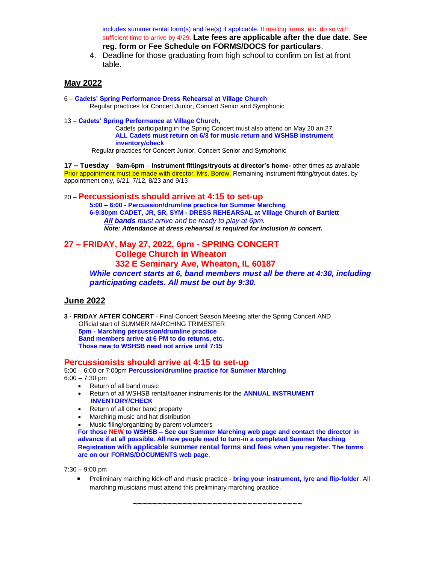includes summer rental form(s) and fee(s) if applicable. If mailing forms, etc. do so with sufficient time to arrive by 4/29. **Late fees are applicable after the due date. See reg. form or Fee Schedule on FORMS/DOCS for particulars**.

4. Deadline for those graduating from high school to confirm on list at front table.

## **May 2022**

- 6 **Cadets' Spring Performance Dress Rehearsal at Village Church** Regular practices for Concert Junior, Concert Senior and Symphonic
- 13 **Cadets' Spring Performance at Village Church,**

Cadets participating in the Spring Concert must also attend on May 20 an 27 **ALL Cadets must return on 6/3 for music return and WSHSB instrument inventory/check**

Regular practices for Concert Junior, Concert Senior and Symphonic

**17 – Tuesday** – **9am-6pm** – **Instrument fittings/tryouts at director's home-** other times as available Prior appointment must be made with director, Mrs. Borow. Remaining instrument fitting/tryout dates, by appointment only, 6/21, 7/12, 8/23 and 9/13

#### 20 – **Percussionists should arrive at 4:15 to set-up**

**5:00 – 6:00 - Percussion/drumline practice for Summer Marching 6-9:30pm CADET, JR, SR, SYM - DRESS REHEARSAL at Village Church of Bartlett**  *All bands must arrive and be ready to play at 6pm. Note: Attendance at dress rehearsal is required for inclusion in concert.*

**27 – FRIDAY, May 27, 2022, 6pm - SPRING CONCERT College Church in Wheaton 332 E Seminary Ave, Wheaton, IL 60187** *While concert starts at 6, band members must all be there at 4:30, including participating cadets. All must be out by 9:30.*

## **June 2022**

**3 - FRIDAY AFTER CONCERT** - Final Concert Season Meeting after the Spring Concert AND Official start of SUMMER MARCHING TRIMESTER  **5pm - Marching percussion/drumline practice Band members arrive at 6 PM to do returns, etc. Those new to WSHSB need not arrive until 7:15**

#### **Percussionists should arrive at 4:15 to set-up**

5:00 – 6:00 or 7:00pm **Percussion/drumline practice for Summer Marching** 6:00 – 7:30 pm

- Return of all band music
- Return of all WSHSB rental/loaner instruments for the **ANNUAL INSTRUMENT INVENTORY/CHECK**
- Return of all other band property
- Marching music and hat distribution
- Music filing/organizing by parent volunteers

**For those NEW to WSHSB – See our Summer Marching web page and contact the director in advance if at all possible. All new people need to turn-in a completed Summer Marching Registration with applicable summer rental forms and fees when you register. The forms are on our FORMS/DOCUMENTS web page**.

7:30 – 9:00 pm

 Preliminary marching kick-off and music practice - **bring your instrument, lyre and flip-folder**. All marching musicians must attend this preliminary marching practice.

**~~~~~~~~~~~~~~~~~~~~~~~~~~~~~~~~~~**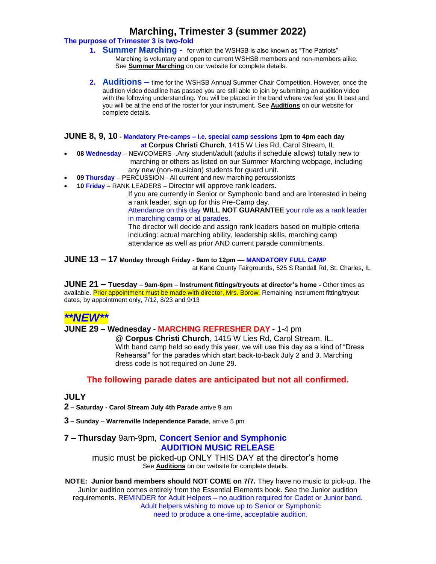# **Marching, Trimester 3 (summer 2022)**

### **The purpose of Trimester 3 is two-fold**

- **1. Summer Marching** for which the WSHSB is also known as "The Patriots" Marching is voluntary and open to current WSHSB members and non-members alike. See **Summer Marching** on our website for complete details.
- **2. Auditions –** time for the WSHSB Annual Summer Chair Competition. However, once the audition video deadline has passed you are still able to join by submitting an audition video with the following understanding. You will be placed in the band where we feel you fit best and you will be at the end of the roster for your instrument. See **Auditions** on our website for complete details.

#### **JUNE 8, 9, 10 - Mandatory Pre-camps – i.e. special camp sessions 1pm to 4pm each day at Corpus Christi Church**, 1415 W Lies Rd, Carol Stream, IL

- **08 Wednesday** NEWCOMERS -.Any student/adult (adults if schedule allows) totally new to marching or others as listed on our Summer Marching webpage, including any new (non-musician) students for guard unit.
- **09 Thursday** PERCUSSION All current and new marching percussionists
- **10 Friday** RANK LEADERS Director will approve rank leaders.

If you are currently in Senior or Symphonic band and are interested in being a rank leader, sign up for this Pre-Camp day.

Attendance on this day **WILL NOT GUARANTEE** your role as a rank leader in marching camp or at parades.

The director will decide and assign rank leaders based on multiple criteria including: actual marching ability, leadership skills, marching camp attendance as well as prior AND current parade commitments.

**JUNE 13 – 17 Monday through Friday - 9am to 12pm –– MANDATORY FULL CAMP**

at Kane County Fairgrounds, 525 S Randall Rd, St. Charles, IL

**JUNE 21 – Tuesday** – **9am-6pm** – **Instrument fittings/tryouts at director's home -** Other times as available. Prior appointment must be made with director, Mrs. Borow. Remaining instrument fitting/tryout dates, by appointment only, 7/12, 8/23 and 9/13

# *\*\*NEW\*\**

## **JUNE 29 – Wednesday - MARCHING REFRESHER DAY -** 1-4 pm

@ **Corpus Christi Church**, 1415 W Lies Rd, Carol Stream, IL. With band camp held so early this year, we will use this day as a kind of "Dress Rehearsal" for the parades which start back-to-back July 2 and 3. Marching dress code is not required on June 29.

## **The following parade dates are anticipated but not all confirmed.**

## **JULY**

**2 – Saturday - Carol Stream July 4th Parade** arrive 9 am

**3 – Sunday** – **Warrenville Independence Parade**, arrive 5 pm

## **7 – Thursday** 9am-9pm, **Concert Senior and Symphonic AUDITION MUSIC RELEASE**

music must be picked-up ONLY THIS DAY at the director's home See **Auditions** on our website for complete details.

**NOTE: Junior band members should NOT COME on 7/7.** They have no music to pick-up. The Junior audition comes entirely from the **Essential Elements book**. See the Junior audition requirements. REMINDER for Adult Helpers – no audition required for Cadet or Junior band. Adult helpers wishing to move up to Senior or Symphonic need to produce a one-time, acceptable audition.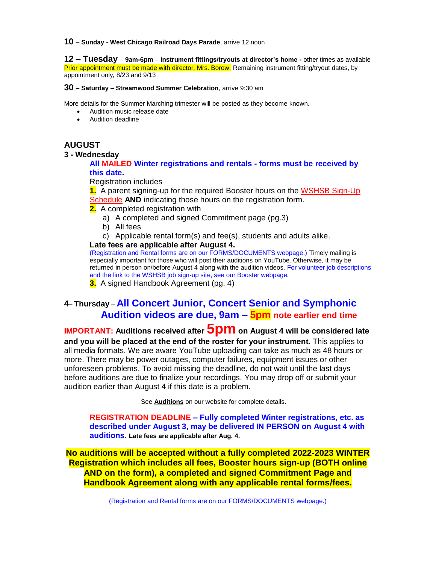**10 – Sunday - West Chicago Railroad Days Parade**, arrive 12 noon

**12 – Tuesday** – **9am-6pm** – **Instrument fittings/tryouts at director's home -** other times as available Prior appointment must be made with director, Mrs. Borow. Remaining instrument fitting/tryout dates, by appointment only, 8/23 and 9/13

#### **30 – Saturday** – **Streamwood Summer Celebration**, arrive 9:30 am

More details for the Summer Marching trimester will be posted as they become known.

- Audition music release date
- Audition deadline

# **AUGUST**

#### **3 - Wednesday**

### **All MAILED Winter registrations and rentals - forms must be received by this date.**

Registration includes

**1.** A parent signing-up for the required Booster hours on the [WSHSB Sign-Up](http://signupschedule.com/wshsb)  [Schedule](http://signupschedule.com/wshsb) **AND** indicating those hours on the registration form.

**2.** A completed registration with

- a) A completed and signed Commitment page (pg.3)
- b) All fees
- c) Applicable rental form(s) and fee(s), students and adults alike.

#### **Late fees are applicable after August 4.**

(Registration and Rental forms are on our FORMS/DOCUMENTS webpage.) Timely mailing is especially important for those who will post their auditions on YouTube. Otherwise, it may be returned in person on/before August 4 along with the audition videos. For volunteer job descriptions and the link to the WSHSB job sign-up site, see our Booster webpage.

**3.** A signed Handbook Agreement (pg. 4)

# **4– Thursday** – **All Concert Junior, Concert Senior and Symphonic Audition videos are due, 9am – 5pm note earlier end time**

**IMPORTANT: Auditions received after 5pm on August 4 will be considered late and you will be placed at the end of the roster for your instrument.** This applies to all media formats. We are aware YouTube uploading can take as much as 48 hours or more. There may be power outages, computer failures, equipment issues or other unforeseen problems. To avoid missing the deadline, do not wait until the last days before auditions are due to finalize your recordings. You may drop off or submit your audition earlier than August 4 if this date is a problem.

See **Auditions** on our website for complete details.

**REGISTRATION DEADLINE – Fully completed Winter registrations, etc. as described under August 3, may be delivered IN PERSON on August 4 with auditions. Late fees are applicable after Aug. 4.**

**No auditions will be accepted without a fully completed 2022-2023 WINTER Registration which includes all fees, Booster hours sign-up (BOTH online AND on the form), a completed and signed Commitment Page and Handbook Agreement along with any applicable rental forms/fees.**

(Registration and Rental forms are on our FORMS/DOCUMENTS webpage.)